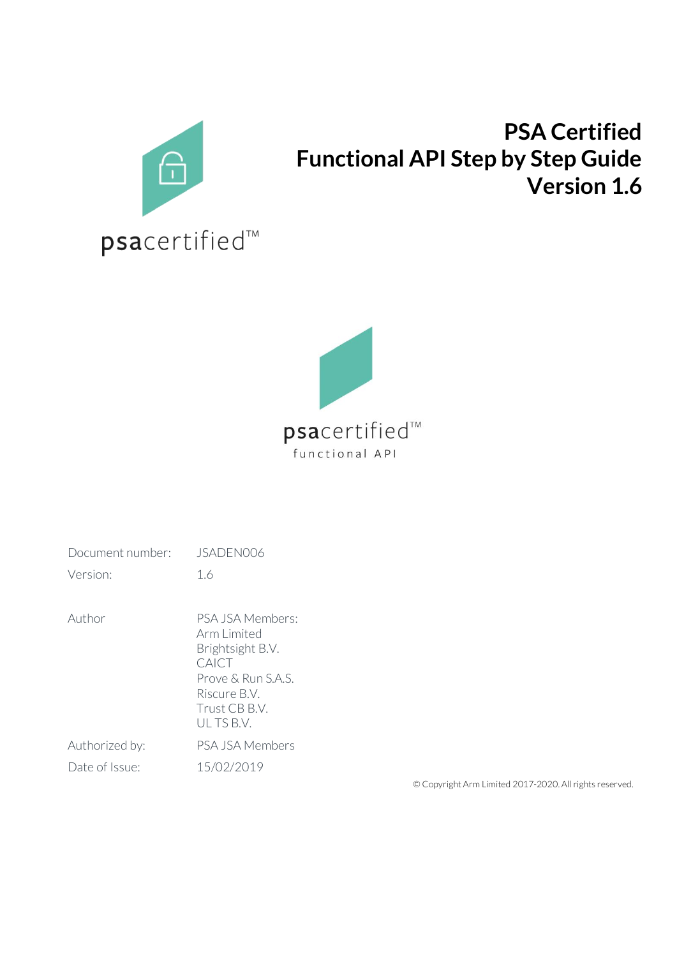

# **PSA Certified Functional API Step by Step Guide Version 1.6**



| Document number: | JSADEN006                                                                                                                        |
|------------------|----------------------------------------------------------------------------------------------------------------------------------|
| Version:         | 1.6                                                                                                                              |
| Author           | PSA ISA Members:<br>Arm Limited<br>Brightsight B.V.<br>CAICT<br>Prove & Run S.A.S.<br>Riscure B.V.<br>Trust CB B.V.<br>ULTS B.V. |
| Authorized by:   | PSA JSA Members                                                                                                                  |
| Date of Issue:   | 15/02/2019                                                                                                                       |
|                  |                                                                                                                                  |

© Copyright Arm Limited 2017-2020. All rights reserved.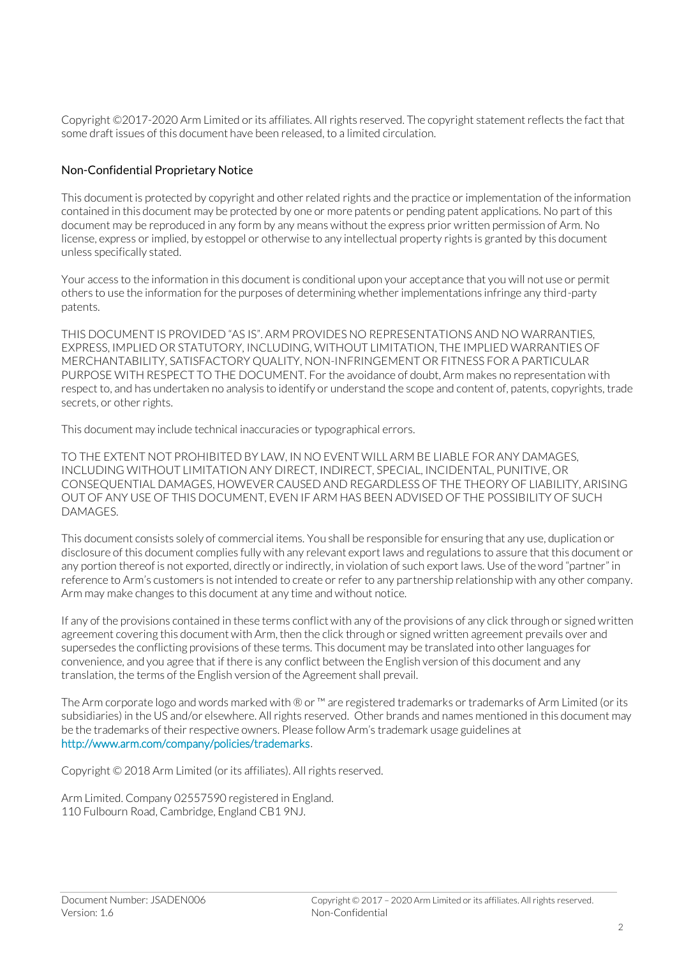Copyright ©2017-2020 Arm Limited or its affiliates. All rights reserved. The copyright statement reflects the fact that some draft issues of this document have been released, to a limited circulation.

#### Non-Confidential Proprietary Notice

This document is protected by copyright and other related rights and the practice or implementation of the information contained in this document may be protected by one or more patents or pending patent applications. No part of this document may be reproduced in any form by any means without the express prior written permission of Arm. No license, express or implied, by estoppel or otherwise to any intellectual property rights is granted by this document unless specifically stated.

Your access to the information in this document is conditional upon your acceptance that you will not use or permit others to use the information for the purposes of determining whether implementations infringe any third-party patents.

THIS DOCUMENT IS PROVIDED "AS IS". ARM PROVIDES NO REPRESENTATIONS AND NO WARRANTIES, EXPRESS, IMPLIED OR STATUTORY, INCLUDING, WITHOUT LIMITATION, THE IMPLIED WARRANTIES OF MERCHANTABILITY, SATISFACTORY QUALITY, NON-INFRINGEMENT OR FITNESS FOR A PARTICULAR PURPOSE WITH RESPECT TO THE DOCUMENT. For the avoidance of doubt, Arm makes no representation with respect to, and has undertaken no analysis to identify or understand the scope and content of, patents, copyrights, trade secrets, or other rights.

This document may include technical inaccuracies or typographical errors.

TO THE EXTENT NOT PROHIBITED BY LAW, IN NO EVENT WILL ARM BE LIABLE FOR ANY DAMAGES, INCLUDING WITHOUT LIMITATION ANY DIRECT, INDIRECT, SPECIAL, INCIDENTAL, PUNITIVE, OR CONSEQUENTIAL DAMAGES, HOWEVER CAUSED AND REGARDLESS OF THE THEORY OF LIABILITY, ARISING OUT OF ANY USE OF THIS DOCUMENT, EVEN IF ARM HAS BEEN ADVISED OF THE POSSIBILITY OF SUCH **DAMAGES** 

This document consists solely of commercial items. You shall be responsible for ensuring that any use, duplication or disclosure of this document complies fully with any relevant export laws and regulations to assure that this document or any portion thereof is not exported, directly or indirectly, in violation of such export laws. Use of the word "partner" in reference to Arm's customers is not intended to create or refer to any partnership relationship with any other company. Arm may make changes to this document at any time and without notice.

If any of the provisions contained in these terms conflict with any of the provisions of any click through or signed written agreement covering this document with Arm, then the click through or signed written agreement prevails over and supersedes the conflicting provisions of these terms. This document may be translated into other languages for convenience, and you agree that if there is any conflict between the English version of this document and any translation, the terms of the English version of the Agreement shall prevail.

The Arm corporate logo and words marked with ® or ™ are registered trademarks or trademarks of Arm Limited (or its subsidiaries) in the US and/or elsewhere. All rights reserved. Other brands and names mentioned in this document may be the trademarks of their respective owners. Please follow Arm's trademark usage guidelines at [http://www.arm.com/company/policies/trademarks.](http://www.arm.com/company/policies/trademarks)

Copyright © 2018 Arm Limited (or its affiliates). All rights reserved.

Arm Limited. Company 02557590 registered in England. 110 Fulbourn Road, Cambridge, England CB1 9NJ.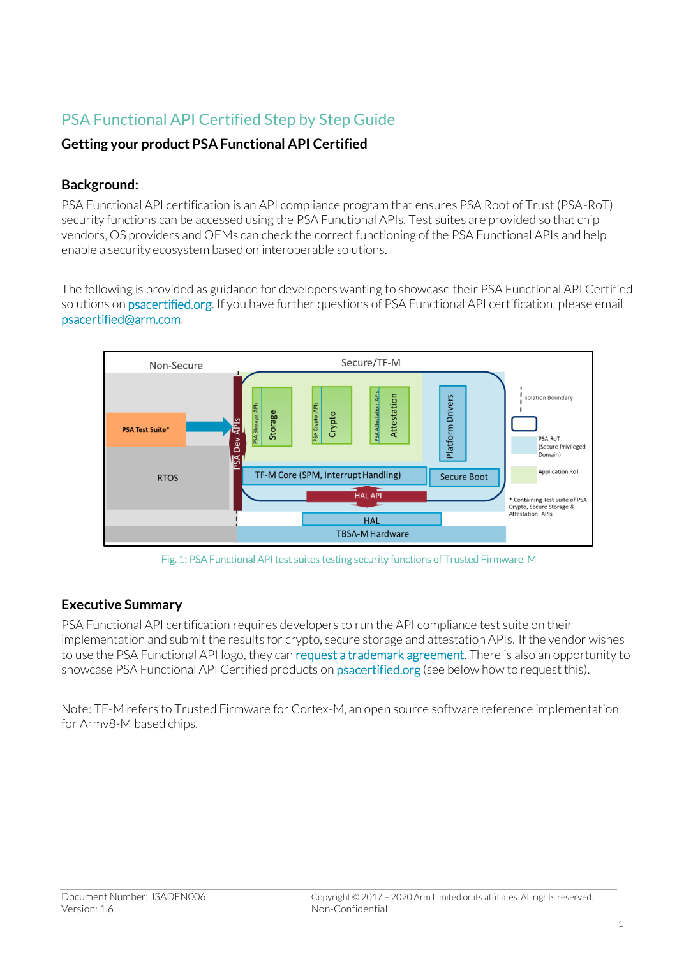# PSA Functional API Certified Step by Step Guide

#### **Getting your product PSA Functional API Certified**

#### **Background:**

PSA Functional API certification is an API compliance program that ensures PSA Root of Trust (PSA-RoT) security functions can be accessed using the PSA Functional APIs. Test suites are provided so that chip vendors, OS providers and OEMs can check the correct functioning of the PSA Functional APIs and help enable a security ecosystem based on interoperable solutions.

The following is provided as guidance for developers wanting to showcase their PSA Functional API Certified solutions o[n psacertified.org.](http://www.psacertified.org/) If you have further questions of PSA Functional API certification, please email [psacertified@arm.com.](mailto:psacertified@arm.com)



Fig. 1: PSA Functional API test suites testing security functions of Trusted Firmware-M

#### **Executive Summary**

PSA Functional API certification requires developers to run the API compliance test suite on their implementation and submit the results for crypto, secure storage and attestation APIs. If the vendor wishes to use the PSA Functional API logo, they can [request a trademark agreement.](https://www.psacertified.org/legal/trademark-usage-request/) There is also an opportunity to showcase PSA Functional API Certified products on [psacertified.org](https://www.psacertified.org/certified-products/) (see below how to request this).

Note: TF-M refers to Trusted Firmware for Cortex-M, an open source software reference implementation for Armv8-M based chips.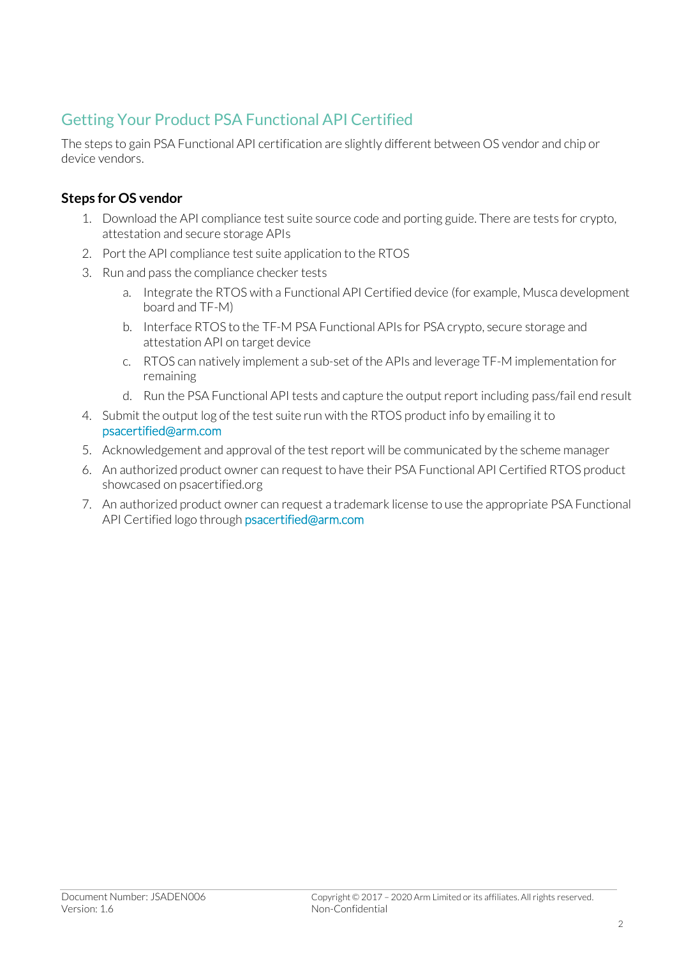## Getting Your Product PSA Functional API Certified

The steps to gain PSA Functional API certification are slightly different between OS vendor and chip or device vendors.

### **Steps for OS vendor**

- 1. Download the API compliance test suite source code and porting guide. There are tests for crypto, attestation and secure storage APIs
- 2. Port the API compliance test suite application to the RTOS
- 3. Run and pass the compliance checker tests
	- a. Integrate the RTOS with a Functional API Certified device (for example, Musca development board and TF-M)
	- b. Interface RTOS to the TF-M PSA Functional APIs for PSA crypto, secure storage and attestation API on target device
	- c. RTOS can natively implement a sub-set of the APIs and leverage TF-M implementation for remaining
	- d. Run the PSA Functional API tests and capture the output report including pass/fail end result
- 4. Submit the output log of the test suite run with the RTOS product info by emailing it to [psacertified@arm.com](mailto:psacertified@arm.com)
- 5. Acknowledgement and approval of the test report will be communicated by the scheme manager
- 6. An authorized product owner can request to have their PSA Functional API Certified RTOS product showcased on psacertified.org
- 7. An authorized product owner can request a trademark license to use the appropriate PSA Functional API Certified logo throug[h psacertified@arm.com](mailto:psacertified@arm.com)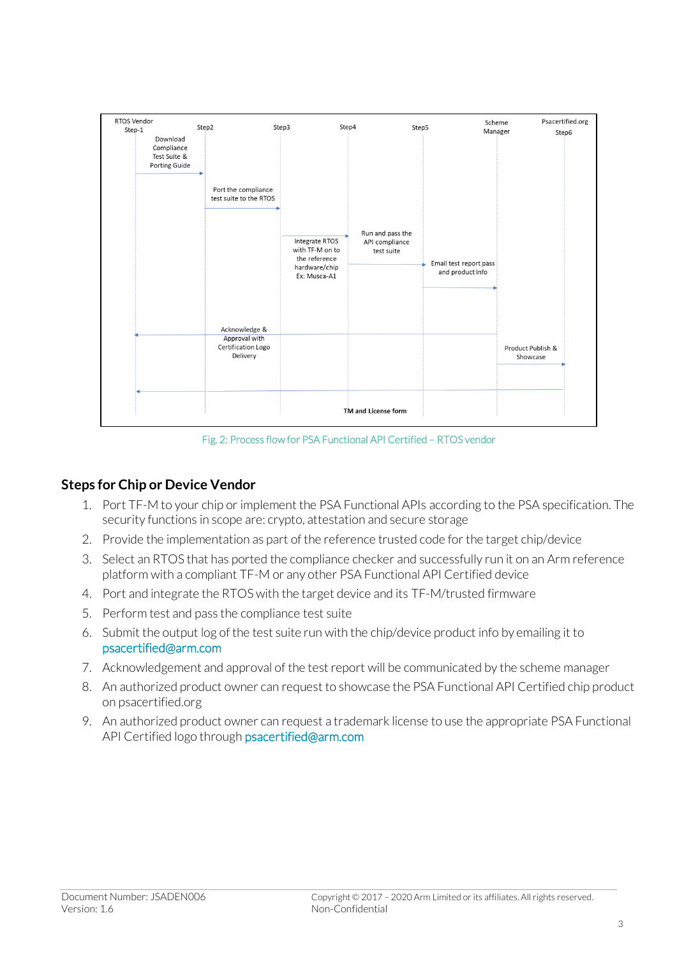

Fig. 2: Process flow for PSA Functional API Certified – RTOS vendor

#### **Steps for Chip or Device Vendor**

- 1. Port TF-M to your chip or implement the PSA Functional APIs according to the PSA specification. The security functions in scope are: crypto, attestation and secure storage
- 2. Provide the implementation as part of the reference trusted code for the target chip/device
- 3. Select an RTOS that has ported the compliance checker and successfully run it on an Arm reference platform with a compliant TF-M or any other PSA Functional API Certified device
- 4. Port and integrate the RTOS with the target device and its TF-M/trusted firmware
- 5. Perform test and pass the compliance test suite
- 6. Submit the output log of the test suite run with the chip/device product info by emailing it to [psacertified@arm.com](mailto:psacertified@arm.com)
- 7. Acknowledgement and approval of the test report will be communicated by the scheme manager
- 8. An authorized product owner can request to showcase the PSA Functional API Certified chip product on psacertified.org
- 9. An authorized product owner can request a trademark license to use the appropriate PSA Functional API Certified logo throug[h psacertified@arm.com](mailto:psacertified@arm.com)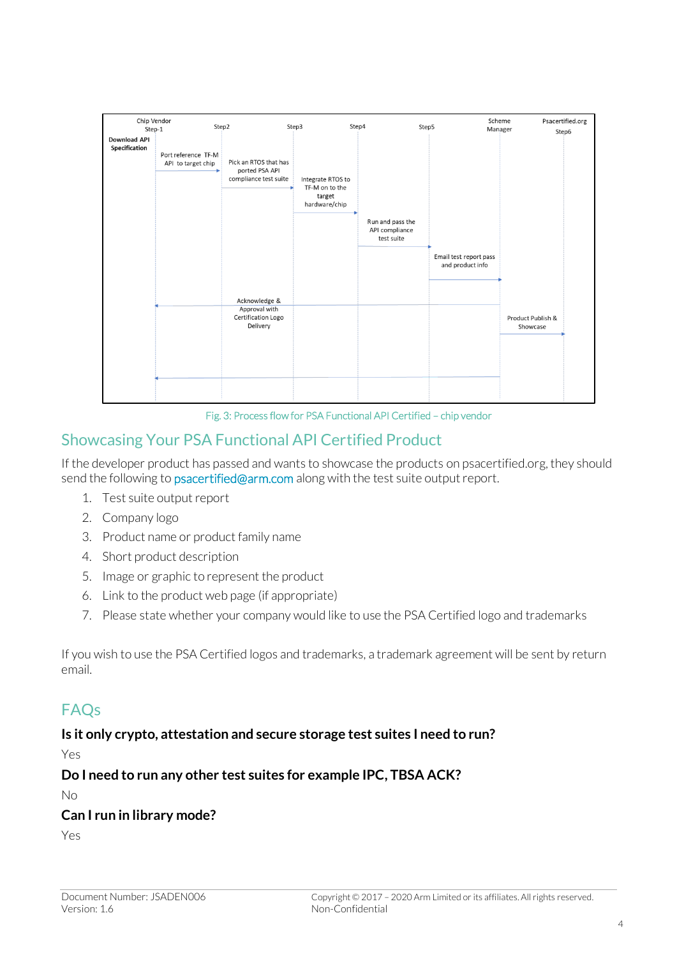

Fig. 3: Process flow for PSA Functional API Certified – chip vendor

### Showcasing Your PSA Functional API Certified Product

If the developer product has passed and wants to showcase the products on psacertified.org, they should send the following to [psacertified@arm.com](mailto:psacertified@arm.com) along with the test suite output report.

- 1. Test suite output report
- 2. Company logo
- 3. Product name or product family name
- 4. Short product description
- 5. Image or graphic to represent the product
- 6. Link to the product web page (if appropriate)
- 7. Please state whether your company would like to use the PSA Certified logo and trademarks

If you wish to use the PSA Certified logos and trademarks, a trademark agreement will be sent by return email.

## FAQs

#### **Is it only crypto, attestation and secure storage test suites I need to run?**

Yes

#### **Do I need to run any other test suites for example IPC, TBSA ACK?**

No

#### **Can I run in library mode?**

Yes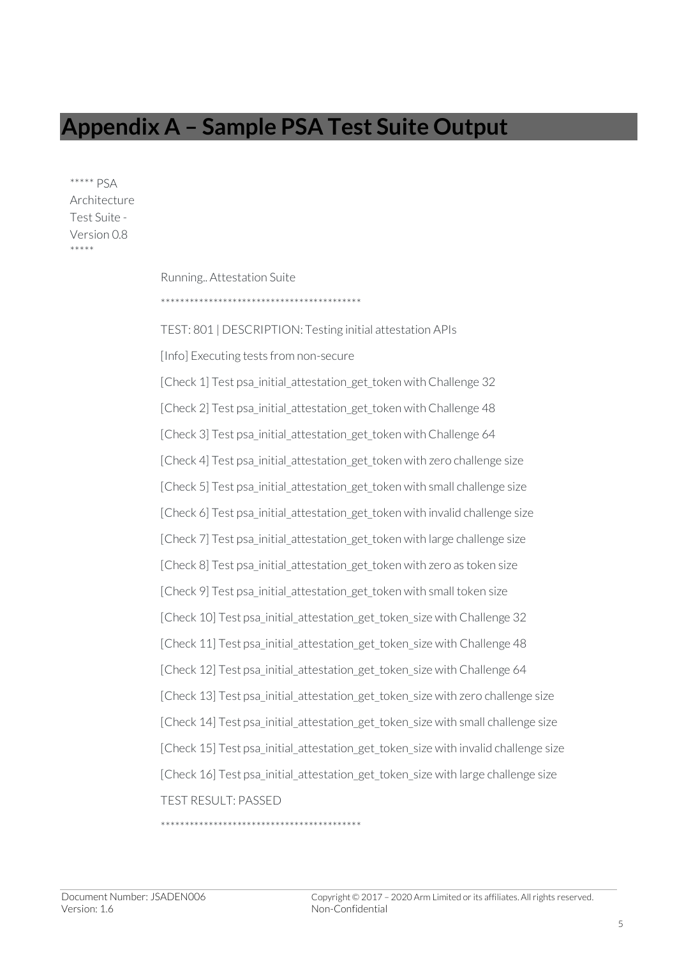# **Appendix A – Sample PSA Test Suite Output**

\*\*\*\*\* PSA Architecture Test Suite - Version 0.8 \*\*\*\*\*

> Running.. Attestation Suite \*\*\*\*\*\*\*\*\*\*\*\*\*\*\*\*\*\*\*\*\*\*\*\*\*\*\*\*\*\*\*\*\*\*\*\*\*\*\*\*\*\* TEST: 801 | DESCRIPTION: Testing initial attestation APIs [Info] Executing tests from non-secure [Check 1] Test psa\_initial\_attestation\_get\_token with Challenge 32 [Check 2] Test psa\_initial\_attestation\_get\_token with Challenge 48 [Check 3] Test psa\_initial\_attestation\_get\_token with Challenge 64 [Check 4] Test psa\_initial\_attestation\_get\_token with zero challenge size [Check 5] Test psa\_initial\_attestation\_get\_token with small challenge size [Check 6] Test psa\_initial\_attestation\_get\_token with invalid challenge size [Check 7] Test psa\_initial\_attestation\_get\_token with large challenge size [Check 8] Test psa\_initial\_attestation\_get\_token with zero as token size [Check 9] Test psa\_initial\_attestation\_get\_token with small token size [Check 10] Test psa\_initial\_attestation\_get\_token\_size with Challenge 32 [Check 11] Test psa\_initial\_attestation\_get\_token\_size with Challenge 48 [Check 12] Test psa\_initial\_attestation\_get\_token\_size with Challenge 64 [Check 13] Test psa\_initial\_attestation\_get\_token\_size with zero challenge size [Check 14] Test psa\_initial\_attestation\_get\_token\_size with small challenge size [Check 15] Test psa\_initial\_attestation\_get\_token\_size with invalid challenge size [Check 16] Test psa\_initial\_attestation\_get\_token\_size with large challenge size TEST RESULT: PASSED \*\*\*\*\*\*\*\*\*\*\*\*\*\*\*\*\*\*\*\*\*\*\*\*\*\*\*\*\*\*\*\*\*\*\*\*\*\*\*\*\*\*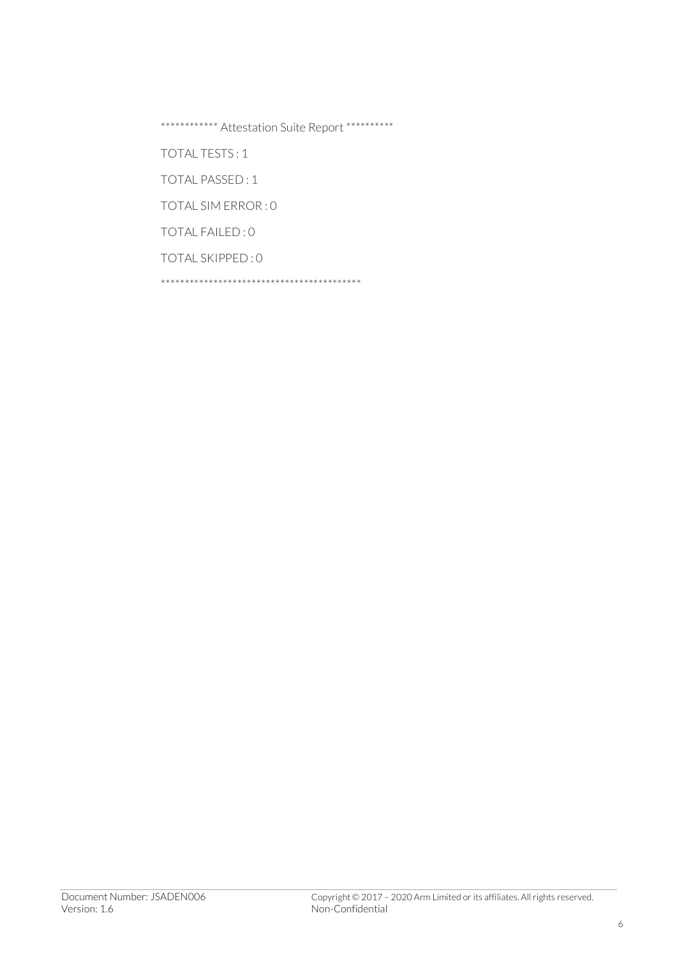\*\*\*\*\*\*\*\*\*\*\*\* Attestation Suite Report \*\*\*\*\*\*\*\*\*\* **TOTAL TESTS: 1** TOTAL PASSED: 1 TOTAL SIM ERROR: 0 TOTAL FAILED: 0 TOTAL SKIPPED: 0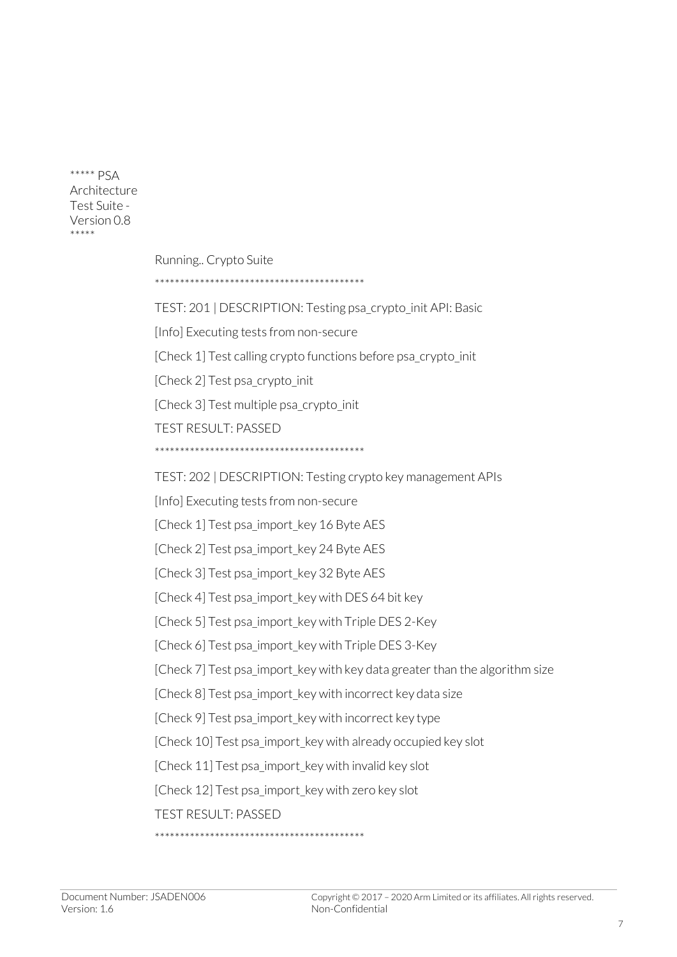\*\*\*\*\* PSA Architecture Test Suite - Version 0.8 \*\*\*\*\*

Running.. Crypto Suite

\*\*\*\*\*\*\*\*\*\*\*\*\*\*\*\*\*\*\*\*\*\*\*\*\*\*\*\*\*\*\*\*\*\*\*\*\*\*\*\*\*\*

TEST: 201 | DESCRIPTION: Testing psa\_crypto\_init API: Basic [Info] Executing tests from non-secure [Check 1] Test calling crypto functions before psa\_crypto\_init [Check 2] Test psa\_crypto\_init [Check 3] Test multiple psa\_crypto\_init TEST RESULT: PASSED \*\*\*\*\*\*\*\*\*\*\*\*\*\*\*\*\*\*\*\*\*\*\*\*\*\*\*\*\*\*\*\*\*\*\*\*\*\*\*\*\*\* TEST: 202 | DESCRIPTION: Testing crypto key management APIs [Info] Executing tests from non-secure [Check 1] Test psa\_import\_key 16 Byte AES [Check 2] Test psa\_import\_key 24 Byte AES [Check 3] Test psa\_import\_key 32 Byte AES [Check 4] Test psa\_import\_key with DES 64 bit key [Check 5] Test psa\_import\_key with Triple DES 2-Key [Check 6] Test psa\_import\_key with Triple DES 3-Key [Check 7] Test psa\_import\_key with key data greater than the algorithm size [Check 8] Test psa\_import\_key with incorrect key data size [Check 9] Test psa\_import\_key with incorrect key type [Check 10] Test psa\_import\_key with already occupied key slot [Check 11] Test psa\_import\_key with invalid key slot [Check 12] Test psa\_import\_key with zero key slot TEST RESULT: PASSED \*\*\*\*\*\*\*\*\*\*\*\*\*\*\*\*\*\*\*\*\*\*\*\*\*\*\*\*\*\*\*\*\*\*\*\*\*\*\*\*\*\*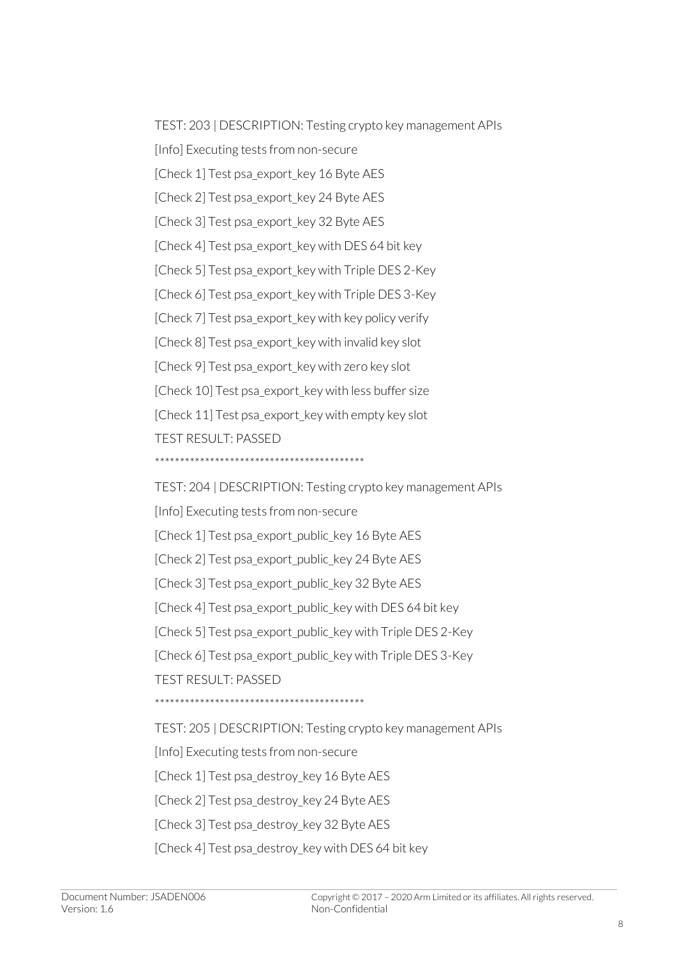TEST: 203 | DESCRIPTION: Testing crypto key management APIs

[Info] Executing tests from non-secure

[Check 1] Test psa\_export\_key 16 Byte AES

[Check 2] Test psa\_export\_key 24 Byte AES

[Check 3] Test psa\_export\_key 32 Byte AES

[Check 4] Test psa\_export\_key with DES 64 bit key

[Check 5] Test psa\_export\_key with Triple DES 2-Key

[Check 6] Test psa\_export\_key with Triple DES 3-Key

[Check 7] Test psa\_export\_key with key policy verify

[Check 8] Test psa\_export\_key with invalid key slot

[Check 9] Test psa\_export\_key with zero key slot

[Check 10] Test psa\_export\_key with less buffer size [Check 11] Test psa\_export\_key with empty key slot

TEST RESULT: PASSED

\*\*\*\*\*\*\*\*\*\*\*\*\*\*\*\*\*\*\*\*\*\*\*\*\*\*\*\*\*\*\*\*\*\*\*\*\*\*\*\*\*\*

TEST: 204 | DESCRIPTION: Testing crypto key management APIs

[Info] Executing tests from non-secure

[Check 1] Test psa\_export\_public\_key 16 Byte AES

[Check 2] Test psa\_export\_public\_key 24 Byte AES

[Check 3] Test psa\_export\_public\_key 32 Byte AES

[Check 4] Test psa\_export\_public\_key with DES 64 bit key

[Check 5] Test psa\_export\_public\_key with Triple DES 2-Key

[Check 6] Test psa\_export\_public\_key with Triple DES 3-Key

TEST RESULT: PASSED

\*\*\*\*\*\*\*\*\*\*\*\*\*\*\*\*\*\*\*\*\*\*\*\*\*\*\*\*\*\*\*\*\*\*\*\*\*\*\*\*\*\*

TEST: 205 | DESCRIPTION: Testing crypto key management APIs [Info] Executing tests from non-secure [Check 1] Test psa\_destroy\_key 16 Byte AES [Check 2] Test psa\_destroy\_key 24 Byte AES [Check 3] Test psa\_destroy\_key 32 Byte AES [Check 4] Test psa\_destroy\_key with DES 64 bit key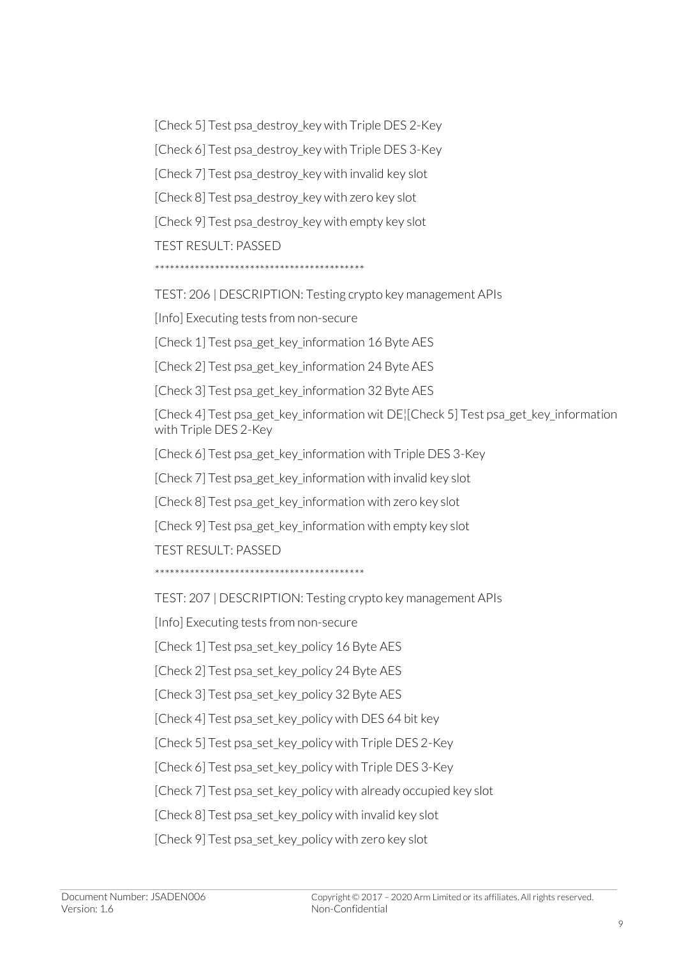[Check 5] Test psa\_destroy\_key with Triple DES 2-Key [Check 6] Test psa\_destroy\_key with Triple DES 3-Key [Check 7] Test psa\_destroy\_key with invalid key slot [Check 8] Test psa\_destroy\_key with zero key slot [Check 9] Test psa\_destroy\_key with empty key slot TEST RESULT: PASSED

\*\*\*\*\*\*\*\*\*\*\*\*\*\*\*\*\*\*\*\*\*\*\*\*\*\*\*\*\*\*\*\*\*\*\*\*\*\*\*\*\*\*

TEST: 206 | DESCRIPTION: Testing crypto key management APIs

[Info] Executing tests from non-secure

[Check 1] Test psa\_get\_key\_information 16 Byte AES

[Check 2] Test psa\_get\_key\_information 24 Byte AES

[Check 3] Test psa\_get\_key\_information 32 Byte AES

[Check 4] Test psa\_get\_key\_information wit DE¦[Check 5] Test psa\_get\_key\_information with Triple DES 2-Key

[Check 6] Test psa\_get\_key\_information with Triple DES 3-Key

[Check 7] Test psa\_get\_key\_information with invalid key slot

[Check 8] Test psa\_get\_key\_information with zero key slot

[Check 9] Test psa\_get\_key\_information with empty key slot

TEST RESULT: PASSED

\*\*\*\*\*\*\*\*\*\*\*\*\*\*\*\*\*\*\*\*\*\*\*\*\*\*\*\*\*\*\*\*\*\*\*\*\*\*\*\*\*\*

TEST: 207 | DESCRIPTION: Testing crypto key management APIs

[Info] Executing tests from non-secure

[Check 1] Test psa\_set\_key\_policy 16 Byte AES

[Check 2] Test psa\_set\_key\_policy 24 Byte AES

[Check 3] Test psa\_set\_key\_policy 32 Byte AES

[Check 4] Test psa\_set\_key\_policy with DES 64 bit key

[Check 5] Test psa\_set\_key\_policy with Triple DES 2-Key

[Check 6] Test psa\_set\_key\_policy with Triple DES 3-Key

[Check 7] Test psa\_set\_key\_policy with already occupied key slot

[Check 8] Test psa\_set\_key\_policy with invalid key slot

[Check 9] Test psa\_set\_key\_policy with zero key slot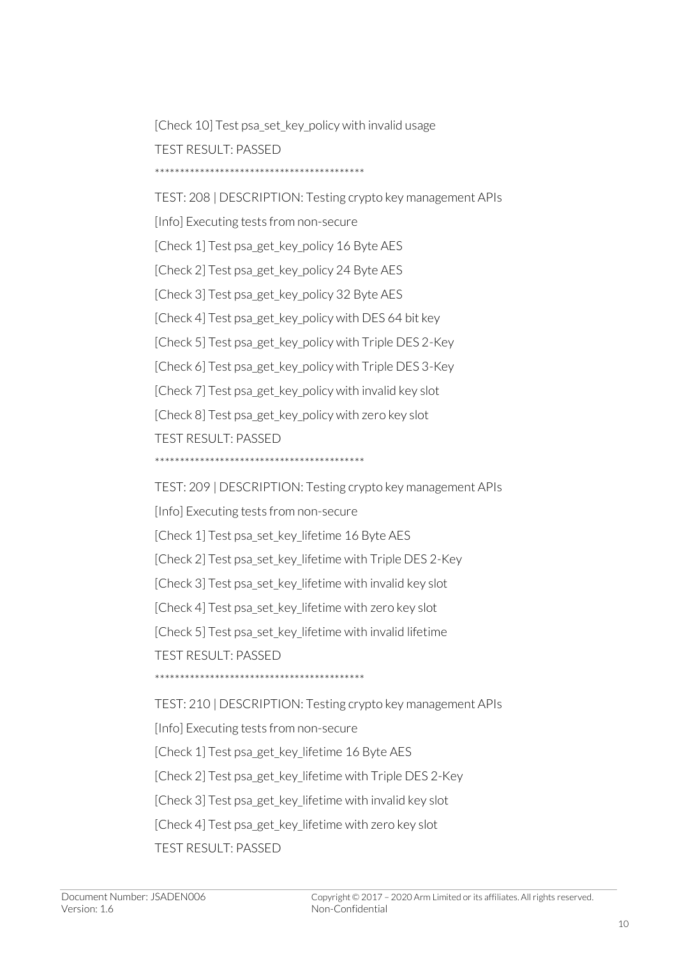[Check 10] Test psa\_set\_key\_policy with invalid usage TEST RESULT: PASSED

\*\*\*\*\*\*\*\*\*\*\*\*\*\*\*\*\*\*\*\*\*\*\*\*\*\*\*\*\*\*\*\*\*\*\*\*\*\*\*\*\*\*

TEST: 208 | DESCRIPTION: Testing crypto key management APIs [Info] Executing tests from non-secure [Check 1] Test psa\_get\_key\_policy 16 Byte AES [Check 2] Test psa\_get\_key\_policy 24 Byte AES [Check 3] Test psa\_get\_key\_policy 32 Byte AES [Check 4] Test psa\_get\_key\_policy with DES 64 bit key [Check 5] Test psa\_get\_key\_policy with Triple DES 2-Key [Check 6] Test psa\_get\_key\_policy with Triple DES 3-Key [Check 7] Test psa\_get\_key\_policy with invalid key slot [Check 8] Test psa\_get\_key\_policy with zero key slot TEST RESULT: PASSED \*\*\*\*\*\*\*\*\*\*\*\*\*\*\*\*\*\*\*\*\*\*\*\*\*\*\*\*\*\*\*\*\*\*\*\*\*\*\*\*\*\*

TEST: 209 | DESCRIPTION: Testing crypto key management APIs [Info] Executing tests from non-secure [Check 1] Test psa\_set\_key\_lifetime 16 Byte AES [Check 2] Test psa\_set\_key\_lifetime with Triple DES 2-Key [Check 3] Test psa\_set\_key\_lifetime with invalid key slot [Check 4] Test psa\_set\_key\_lifetime with zero key slot [Check 5] Test psa\_set\_key\_lifetime with invalid lifetime TEST RESULT: PASSED \*\*\*\*\*\*\*\*\*\*\*\*\*\*\*\*\*\*\*\*\*\*\*\*\*\*\*\*\*\*\*\*\*\*\*\*\*\*\*\*\*\* TEST: 210 | DESCRIPTION: Testing crypto key management APIs [Info] Executing tests from non-secure [Check 1] Test psa\_get\_key\_lifetime 16 Byte AES [Check 2] Test psa\_get\_key\_lifetime with Triple DES 2-Key [Check 3] Test psa\_get\_key\_lifetime with invalid key slot [Check 4] Test psa\_get\_key\_lifetime with zero key slot TEST RESULT: PASSED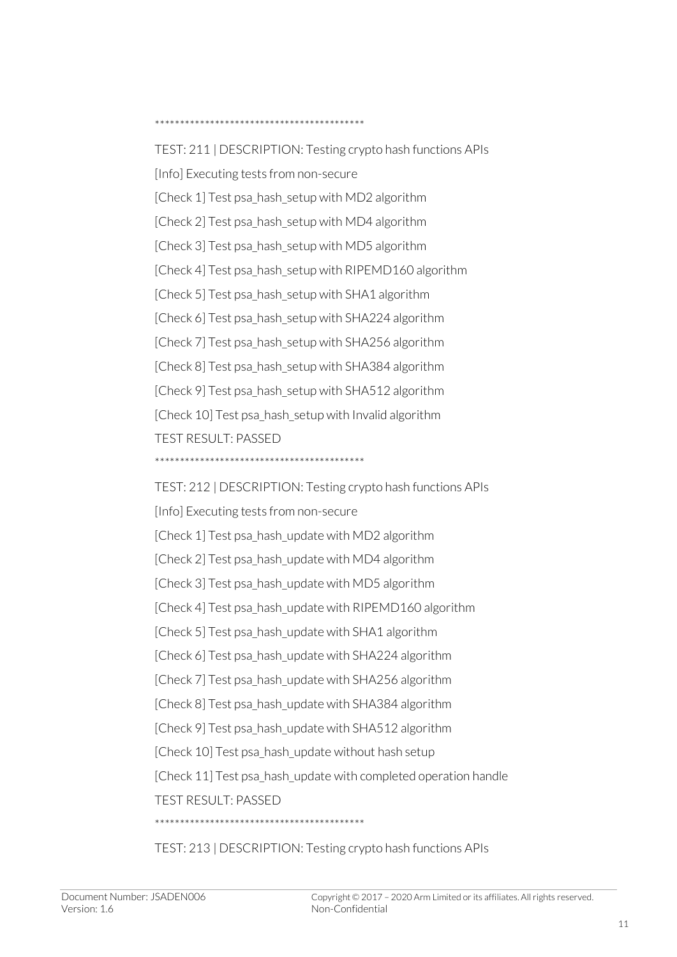\*\*\*\*\*\*\*\*\*\*\*\*\*\*\*\*\*\*\*\*\*\*\*\*\*\*\*\*\*\*\*\*\*\*\*\*\*\*\*\*\*\*

TEST: 211 | DESCRIPTION: Testing crypto hash functions APIs [Info] Executing tests from non-secure [Check 1] Test psa\_hash\_setup with MD2 algorithm [Check 2] Test psa hash setup with MD4 algorithm [Check 3] Test psa hash setup with MD5 algorithm [Check 4] Test psa\_hash\_setup with RIPEMD160 algorithm [Check 5] Test psa hash setup with SHA1 algorithm [Check 6] Test psa hash setup with SHA224 algorithm [Check 7] Test psa hash setup with SHA256 algorithm [Check 8] Test psa hash setup with SHA384 algorithm [Check 9] Test psa\_hash\_setup with SHA512 algorithm [Check 10] Test psa\_hash\_setup with Invalid algorithm TEST RESULT: PASSED

\*\*\*\*\*\*\*\*\*\*\*\*\*\*\*\*\*\*\*\*\*\*\*\*\*\*\*\*\*\*\*\*\*\*\*\*\*\*\*\*\*\*

TEST: 212 | DESCRIPTION: Testing crypto hash functions APIs [Info] Executing tests from non-secure [Check 1] Test psa hash update with MD2 algorithm [Check 2] Test psa hash update with MD4 algorithm [Check 3] Test psa hash update with MD5 algorithm [Check 4] Test psa\_hash\_update with RIPEMD160 algorithm [Check 5] Test psa hash update with SHA1 algorithm [Check 6] Test psa hash update with SHA224 algorithm [Check 7] Test psa\_hash\_update with SHA256 algorithm [Check 8] Test psa hash update with SHA384 algorithm [Check 9] Test psa hash update with SHA512 algorithm [Check 10] Test psa\_hash\_update without hash setup [Check 11] Test psa hash update with completed operation handle TEST RESULT: PASSED \*\*\*\*\*\*\*\*\*\*\*\*\*\*\*\*\*\*\*\*\*\*\*\*\*\*\*\*\*\*\*\*\*\*\*\*\*\*\*\*\*\*

TEST: 213 | DESCRIPTION: Testing crypto hash functions APIs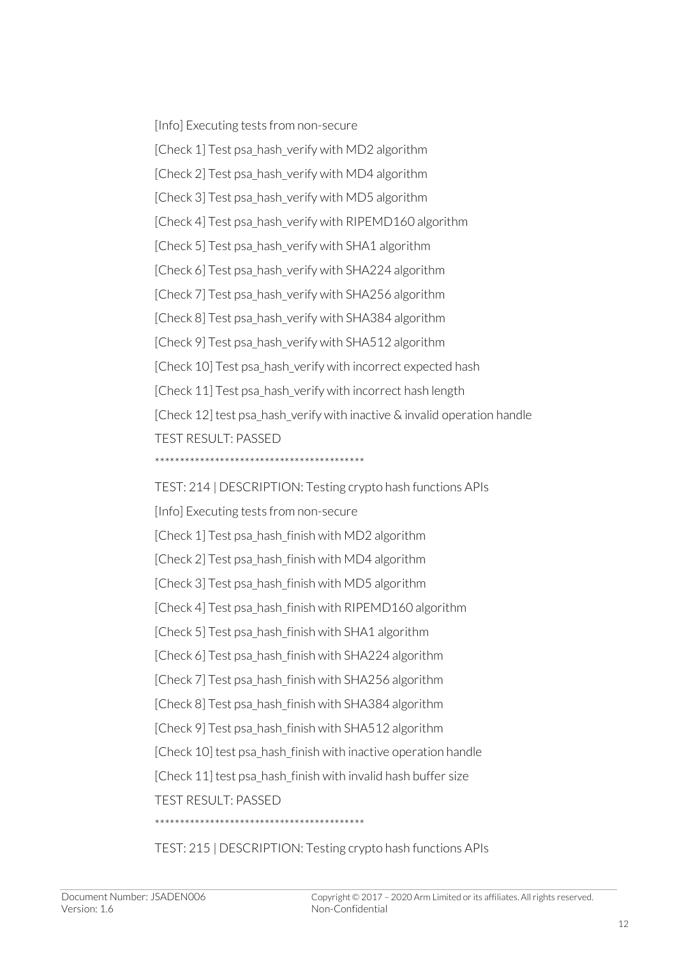[Info] Executing tests from non-secure [Check 1] Test psa\_hash\_verify with MD2 algorithm [Check 2] Test psa hash verify with MD4 algorithm [Check 3] Test psa hash verify with MD5 algorithm [Check 4] Test psa\_hash\_verify with RIPEMD160 algorithm [Check 5] Test psa hash verify with SHA1 algorithm [Check 6] Test psa hash verify with SHA224 algorithm [Check 7] Test psa hash verify with SHA256 algorithm [Check 8] Test psa hash verify with SHA384 algorithm [Check 9] Test psa hash verify with SHA512 algorithm [Check 10] Test psa\_hash\_verify with incorrect expected hash [Check 11] Test psa\_hash\_verify with incorrect hash length [Check 12] test psa hash verify with inactive & invalid operation handle TEST RESULT: PASSED

\*\*\*\*\*\*\*\*\*\*\*\*\*\*\*\*\*\*\*\*\*\*\*\*\*\*\*\*\*\*\*\*\*\*\*\*\*\*\*\*\*\*

TEST: 214 | DESCRIPTION: Testing crypto hash functions APIs [Info] Executing tests from non-secure [Check 1] Test psa\_hash\_finish with MD2 algorithm [Check 2] Test psa\_hash\_finish with MD4 algorithm [Check 3] Test psa hash finish with MD5 algorithm [Check 4] Test psa\_hash\_finish with RIPEMD160 algorithm [Check 5] Test psa hash finish with SHA1 algorithm [Check 6] Test psa\_hash\_finish with SHA224 algorithm [Check 7] Test psa\_hash\_finish with SHA256 algorithm [Check 8] Test psa\_hash\_finish with SHA384 algorithm [Check 9] Test psa\_hash\_finish with SHA512 algorithm [Check 10] test psa\_hash\_finish with inactive operation handle [Check 11] test psa\_hash\_finish with invalid hash buffer size TEST RESULT: PASSED \*\*\*\*\*\*\*\*\*\*\*\*\*\*\*\*\*\*\*\*\*\*\*\*\*\*\*\*\*\*\*\*\*\*\*\*\*\*\*\*\*\*

TEST: 215 | DESCRIPTION: Testing crypto hash functions APIs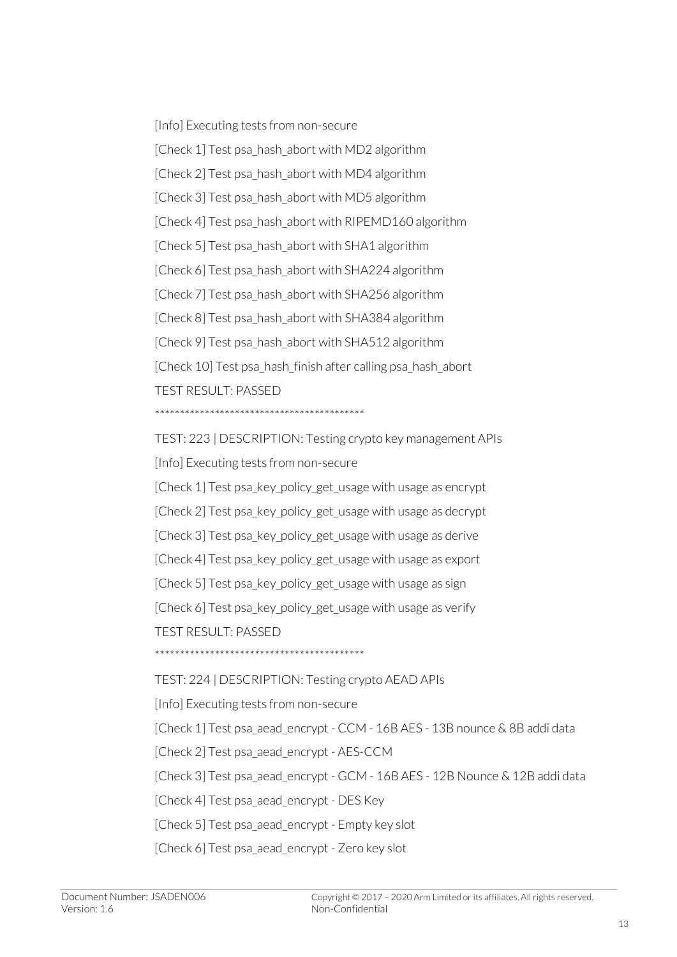[Info] Executing tests from non-secure [Check 1] Test psa\_hash\_abort with MD2 algorithm [Check 2] Test psa\_hash\_abort with MD4 algorithm [Check 3] Test psa\_hash\_abort with MD5 algorithm [Check 4] Test psa\_hash\_abort with RIPEMD160 algorithm [Check 5] Test psa hash abort with SHA1 algorithm [Check 6] Test psa hash abort with SHA224 algorithm [Check 7] Test psa hash abort with SHA256 algorithm [Check 8] Test psa hash abort with SHA384 algorithm [Check 9] Test psa\_hash\_abort with SHA512 algorithm [Check 10] Test psa\_hash\_finish after calling psa\_hash\_abort TEST RESULT: PASSED

\*\*\*\*\*\*\*\*\*\*\*\*\*\*\*\*\*\*\*\*\*\*\*\*\*\*\*\*\*\*\*\*\*\*\*\*\*\*\*\*\*\*

TEST: 223 | DESCRIPTION: Testing crypto key management APIs [Info] Executing tests from non-secure [Check 1] Test psa\_key\_policy\_get\_usage with usage as encrypt [Check 2] Test psa key policy get usage with usage as decrypt [Check 3] Test psa key policy get usage with usage as derive [Check 4] Test psa key policy get usage with usage as export [Check 5] Test psa\_key\_policy\_get\_usage with usage as sign [Check 6] Test psa key policy get usage with usage as verify TEST RESULT: PASSED \*\*\*\*\*\*\*\*\*\*\*\*\*\*\*\*\*\*\*\*\*\*\*\*\*\*\*\*\*\*\*\*\*\*\*\*\*\*\*\*\*\* TEST: 224 | DESCRIPTION: Testing crypto AEAD APIs [Info] Executing tests from non-secure [Check 1] Test psa\_aead\_encrypt - CCM - 16B AES - 13B nounce & 8B addi data [Check 2] Test psa\_aead\_encrypt - AES-CCM [Check 3] Test psa\_aead\_encrypt - GCM - 16B AES - 12B Nounce & 12B addi data [Check 4] Test psa\_aead\_encrypt - DES Key [Check 5] Test psa\_aead\_encrypt - Empty key slot [Check 6] Test psa aead encrypt - Zero key slot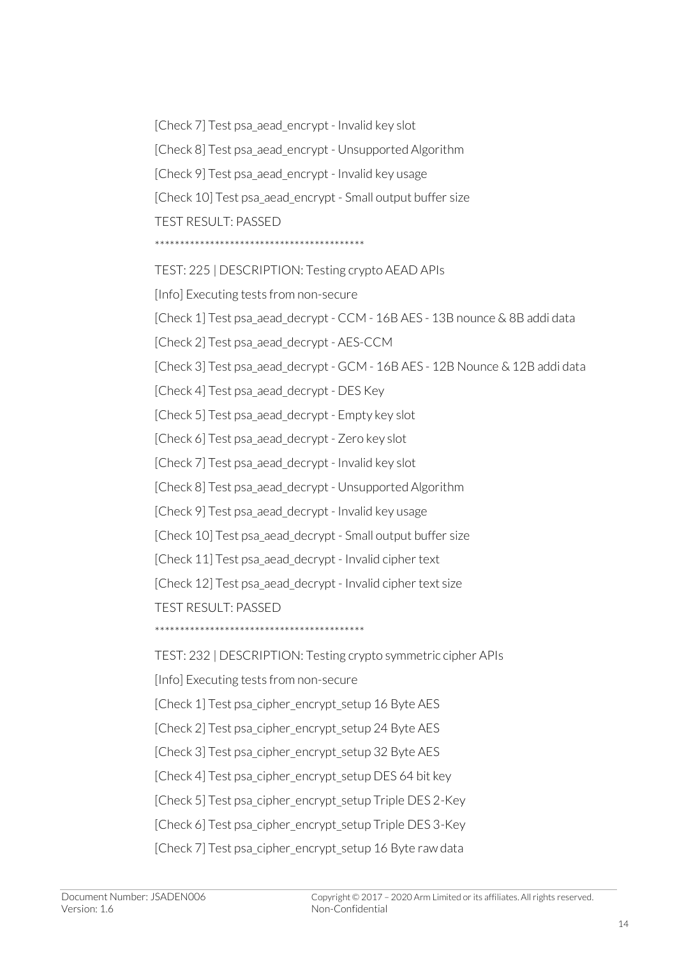[Check 7] Test psa\_aead\_encrypt - Invalid key slot [Check 8] Test psa\_aead\_encrypt - Unsupported Algorithm [Check 9] Test psa\_aead\_encrypt - Invalid key usage [Check 10] Test psa\_aead\_encrypt - Small output buffer size TEST RESULT: PASSED \*\*\*\*\*\*\*\*\*\*\*\*\*\*\*\*\*\*\*\*\*\*\*\*\*\*\*\*\*\*\*\*\*\*\*\*\*\*\*\*\*\* TEST: 225 | DESCRIPTION: Testing crypto AEAD APIs

[Info] Executing tests from non-secure

[Check 1] Test psa aead decrypt - CCM - 16B AES - 13B nounce & 8B addi data

[Check 2] Test psa\_aead\_decrypt - AES-CCM

[Check 3] Test psa\_aead\_decrypt - GCM - 16B AES - 12B Nounce & 12B addi data

[Check 4] Test psa\_aead\_decrypt - DES Key

[Check 5] Test psa aead decrypt - Empty key slot

[Check 6] Test psa\_aead\_decrypt - Zero key slot

[Check 7] Test psa\_aead\_decrypt - Invalid key slot

[Check 8] Test psa\_aead\_decrypt - Unsupported Algorithm

[Check 9] Test psa\_aead\_decrypt - Invalid key usage

[Check 10] Test psa\_aead\_decrypt - Small output buffer size

[Check 11] Test psa\_aead\_decrypt - Invalid cipher text

[Check 12] Test psa\_aead\_decrypt - Invalid cipher text size

TEST RESULT: PASSED

\*\*\*\*\*\*\*\*\*\*\*\*\*\*\*\*\*\*\*\*\*\*\*\*\*\*\*\*\*\*\*\*\*\*\*\*\*\*

TEST: 232 | DESCRIPTION: Testing crypto symmetric cipher APIs

[Info] Executing tests from non-secure

[Check 1] Test psa\_cipher\_encrypt\_setup 16 Byte AES

[Check 2] Test psa\_cipher\_encrypt\_setup 24 Byte AES

[Check 3] Test psa\_cipher\_encrypt\_setup 32 Byte AES

[Check 4] Test psa\_cipher\_encrypt\_setup DES 64 bit key

[Check 5] Test psa\_cipher\_encrypt\_setup Triple DES 2-Key

[Check 6] Test psa\_cipher\_encrypt\_setup Triple DES 3-Key

[Check 7] Test psa\_cipher\_encrypt\_setup 16 Byte raw data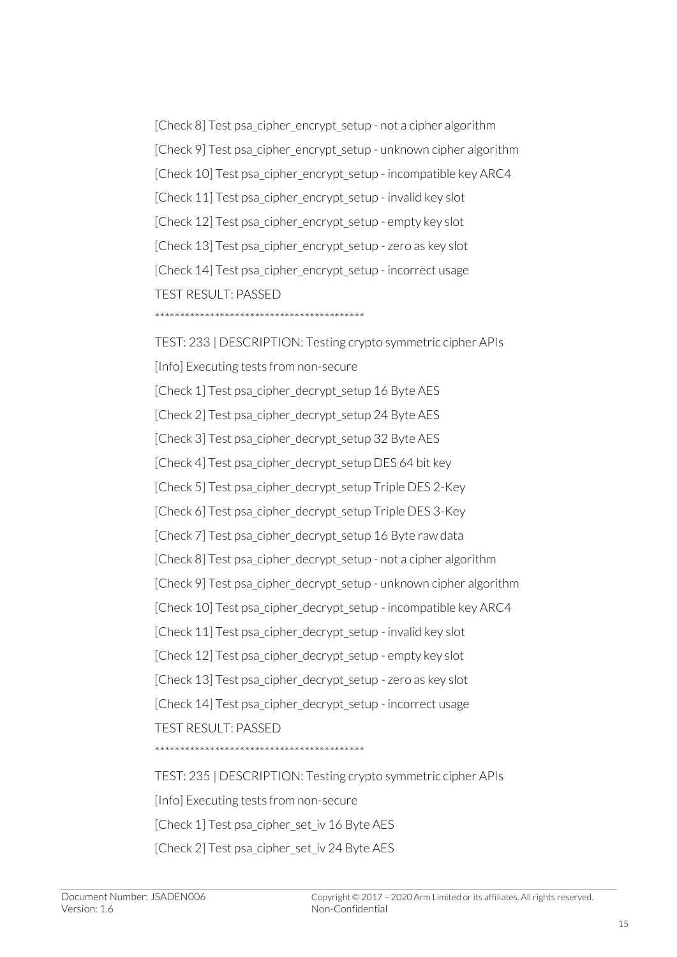[Check 8] Test psa\_cipher\_encrypt\_setup - not a cipher algorithm [Check 9] Test psa\_cipher\_encrypt\_setup - unknown cipher algorithm [Check 10] Test psa\_cipher\_encrypt\_setup - incompatible key ARC4 [Check 11] Test psa\_cipher\_encrypt\_setup - invalid key slot [Check 12] Test psa\_cipher\_encrypt\_setup - empty key slot [Check 13] Test psa\_cipher\_encrypt\_setup - zero as key slot [Check 14] Test psa\_cipher\_encrypt\_setup - incorrect usage TEST RESULT: PASSED

\*\*\*\*\*\*\*\*\*\*\*\*\*\*\*\*\*\*\*\*\*\*\*\*\*\*\*\*\*\*\*\*\*\*\*\*\*\*\*\*\*\*

TEST: 233 | DESCRIPTION: Testing crypto symmetric cipher APIs [Info] Executing tests from non-secure [Check 1] Test psa\_cipher\_decrypt\_setup 16 Byte AES [Check 2] Test psa\_cipher\_decrypt\_setup 24 Byte AES [Check 3] Test psa\_cipher\_decrypt\_setup 32 Byte AES [Check 4] Test psa\_cipher\_decrypt\_setup DES 64 bit key [Check 5] Test psa\_cipher\_decrypt\_setup Triple DES 2-Key [Check 6] Test psa\_cipher\_decrypt\_setup Triple DES 3-Key [Check 7] Test psa\_cipher\_decrypt\_setup 16 Byte raw data [Check 8] Test psa\_cipher\_decrypt\_setup - not a cipher algorithm [Check 9] Test psa\_cipher\_decrypt\_setup - unknown cipher algorithm [Check 10] Test psa\_cipher\_decrypt\_setup - incompatible key ARC4 [Check 11] Test psa\_cipher\_decrypt\_setup - invalid key slot [Check 12] Test psa\_cipher\_decrypt\_setup - empty key slot [Check 13] Test psa\_cipher\_decrypt\_setup - zero as key slot [Check 14] Test psa\_cipher\_decrypt\_setup - incorrect usage TEST RESULT: PASSED \*\*\*\*\*\*\*\*\*\*\*\*\*\*\*\*\*\*\*\*\*\*\*\*\*\*\*\*\*\*\*\*\*\*\*\*\*\*

TEST: 235 | DESCRIPTION: Testing crypto symmetric cipher APIs [Info] Executing tests from non-secure [Check 1] Test psa\_cipher\_set\_iv 16 Byte AES [Check 2] Test psa\_cipher\_set\_iv 24 Byte AES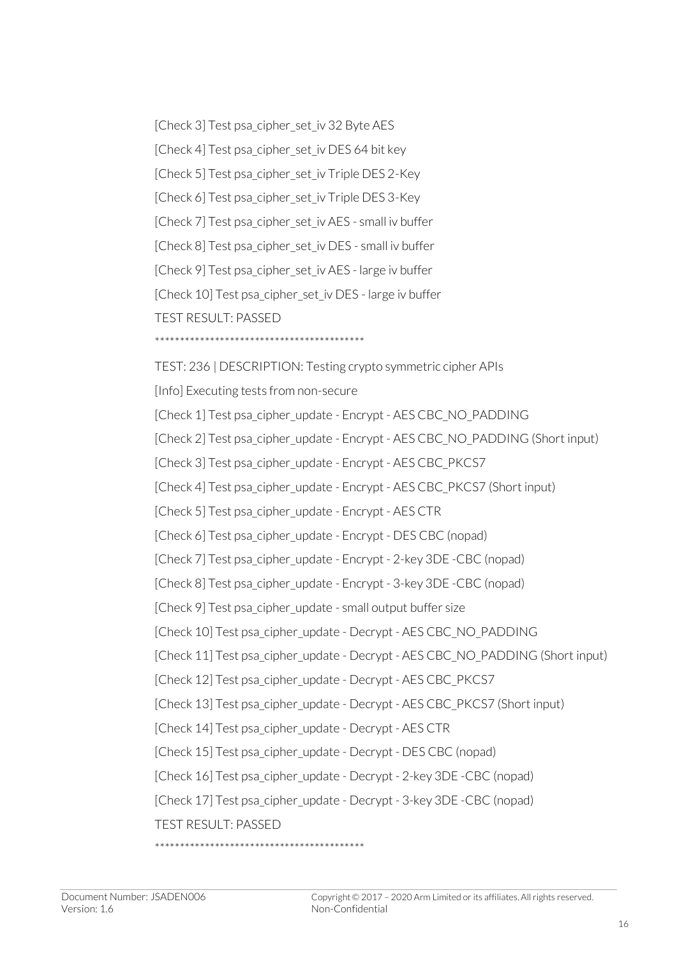[Check 3] Test psa\_cipher\_set\_iv 32 Byte AES [Check 4] Test psa\_cipher\_set\_iv DES 64 bit key [Check 5] Test psa\_cipher\_set\_iv Triple DES 2-Key [Check 6] Test psa\_cipher\_set\_iv Triple DES 3-Key [Check 7] Test psa\_cipher\_set\_iv AES - small iv buffer [Check 8] Test psa\_cipher\_set\_iv DES - small iv buffer [Check 9] Test psa\_cipher\_set\_iv AES - large iv buffer [Check 10] Test psa\_cipher\_set\_iv DES - large iv buffer TEST RESULT: PASSED \*\*\*\*\*\*\*\*\*\*\*\*\*\*\*\*\*\*\*\*\*\*\*\*\*\*\*\*\*\*\*\*\*\*\*\*\*\*\*\*\*\*

TEST: 236 | DESCRIPTION: Testing crypto symmetric cipher APIs [Info] Executing tests from non-secure [Check 1] Test psa\_cipher\_update - Encrypt - AES CBC\_NO\_PADDING [Check 2] Test psa\_cipher\_update - Encrypt - AES CBC\_NO\_PADDING (Short input) [Check 3] Test psa\_cipher\_update - Encrypt - AES CBC\_PKCS7 [Check 4] Test psa\_cipher\_update - Encrypt - AES CBC\_PKCS7 (Short input) [Check 5] Test psa\_cipher\_update - Encrypt - AES CTR [Check 6] Test psa\_cipher\_update - Encrypt - DES CBC (nopad) [Check 7] Test psa\_cipher\_update - Encrypt - 2-key 3DE -CBC (nopad) [Check 8] Test psa\_cipher\_update - Encrypt - 3-key 3DE -CBC (nopad) [Check 9] Test psa\_cipher\_update - small output buffer size [Check 10] Test psa\_cipher\_update - Decrypt - AES CBC\_NO\_PADDING [Check 11] Test psa\_cipher\_update - Decrypt - AES CBC\_NO\_PADDING (Short input) [Check 12] Test psa\_cipher\_update - Decrypt - AES CBC\_PKCS7 [Check 13] Test psa\_cipher\_update - Decrypt - AES CBC\_PKCS7 (Short input) [Check 14] Test psa\_cipher\_update - Decrypt - AES CTR [Check 15] Test psa\_cipher\_update - Decrypt - DES CBC (nopad) [Check 16] Test psa\_cipher\_update - Decrypt - 2-key 3DE -CBC (nopad) [Check 17] Test psa\_cipher\_update - Decrypt - 3-key 3DE -CBC (nopad) TEST RESULT: PASSED \*\*\*\*\*\*\*\*\*\*\*\*\*\*\*\*\*\*\*\*\*\*\*\*\*\*\*\*\*\*\*\*\*\*\*\*\*\*\*\*\*\*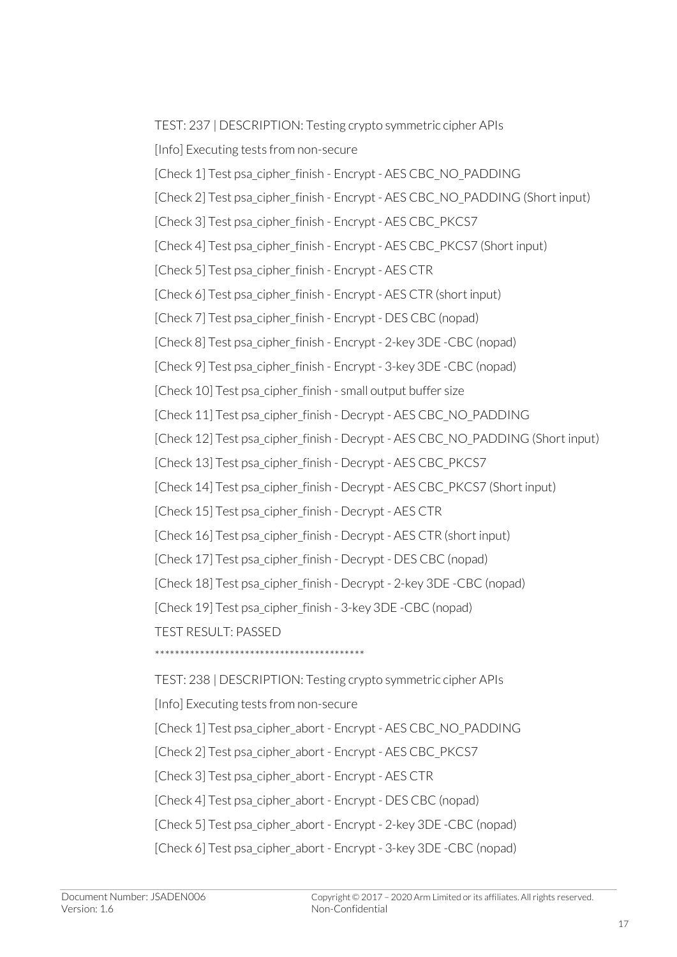TEST: 237 | DESCRIPTION: Testing crypto symmetric cipher APIs

[Info] Executing tests from non-secure

[Check 1] Test psa\_cipher\_finish - Encrypt - AES CBC\_NO\_PADDING

[Check 2] Test psa\_cipher\_finish - Encrypt - AES CBC\_NO\_PADDING (Short input)

[Check 3] Test psa\_cipher\_finish - Encrypt - AES CBC\_PKCS7

[Check 4] Test psa\_cipher\_finish - Encrypt - AES CBC\_PKCS7 (Short input)

[Check 5] Test psa\_cipher\_finish - Encrypt - AES CTR

[Check 6] Test psa\_cipher\_finish - Encrypt - AES CTR (short input)

[Check 7] Test psa\_cipher\_finish - Encrypt - DES CBC (nopad)

[Check 8] Test psa\_cipher\_finish - Encrypt - 2-key 3DE -CBC (nopad)

[Check 9] Test psa\_cipher\_finish - Encrypt - 3-key 3DE -CBC (nopad)

[Check 10] Test psa\_cipher\_finish - small output buffer size

[Check 11] Test psa\_cipher\_finish - Decrypt - AES CBC\_NO\_PADDING

[Check 12] Test psa\_cipher\_finish - Decrypt - AES CBC\_NO\_PADDING (Short input)

[Check 13] Test psa\_cipher\_finish - Decrypt - AES CBC\_PKCS7

[Check 14] Test psa\_cipher\_finish - Decrypt - AES CBC\_PKCS7 (Short input)

[Check 15] Test psa\_cipher\_finish - Decrypt - AES CTR

[Check 16] Test psa\_cipher\_finish - Decrypt - AES CTR (short input)

[Check 17] Test psa\_cipher\_finish - Decrypt - DES CBC (nopad)

[Check 18] Test psa\_cipher\_finish - Decrypt - 2-key 3DE -CBC (nopad)

[Check 19] Test psa\_cipher\_finish - 3-key 3DE -CBC (nopad)

TEST RESULT: PASSED

\*\*\*\*\*\*\*\*\*\*\*\*\*\*\*\*\*\*\*\*\*\*\*\*\*\*\*\*\*\*\*\*\*\*\*\*\*\*\*\*\*\*

TEST: 238 | DESCRIPTION: Testing crypto symmetric cipher APIs [Info] Executing tests from non-secure [Check 1] Test psa\_cipher\_abort - Encrypt - AES CBC\_NO\_PADDING [Check 2] Test psa\_cipher\_abort - Encrypt - AES CBC\_PKCS7 [Check 3] Test psa\_cipher\_abort - Encrypt - AES CTR [Check 4] Test psa\_cipher\_abort - Encrypt - DES CBC (nopad) [Check 5] Test psa\_cipher\_abort - Encrypt - 2-key 3DE -CBC (nopad) [Check 6] Test psa cipher abort - Encrypt - 3-key 3DE -CBC (nopad)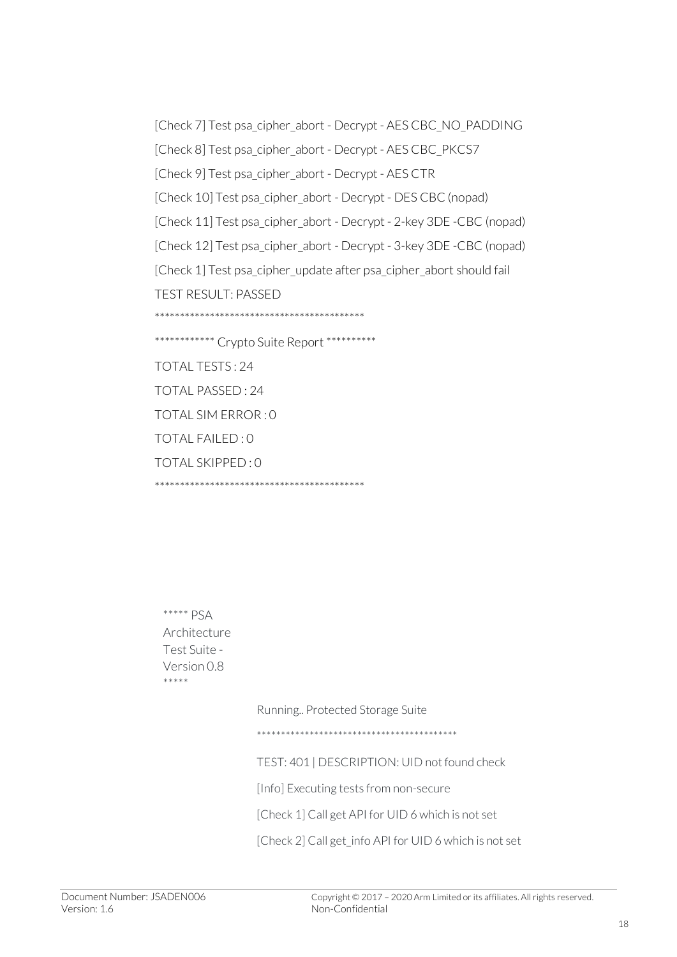[Check 7] Test psa\_cipher\_abort - Decrypt - AES CBC\_NO\_PADDING [Check 8] Test psa\_cipher\_abort - Decrypt - AES CBC\_PKCS7 [Check 9] Test psa\_cipher\_abort - Decrypt - AES CTR [Check 10] Test psa\_cipher\_abort - Decrypt - DES CBC (nopad) [Check 11] Test psa\_cipher\_abort - Decrypt - 2-key 3DE -CBC (nopad) [Check 12] Test psa\_cipher\_abort - Decrypt - 3-key 3DE -CBC (nopad) [Check 1] Test psa\_cipher\_update after psa\_cipher\_abort should fail TEST RESULT: PASSED \*\*\*\*\*\*\*\*\*\*\*\*\*\*\*\*\*\*\*\*\*\*\*\*\*\*\*\*\*\*\*\*\*\*\*\*\*\*\*\*\*\* \*\*\*\*\*\*\*\*\*\*\*\*\* Crypto Suite Report \*\*\*\*\*\*\*\*\*\* TOTAL TESTS : 24 TOTAL PASSED : 24 TOTAL SIM ERROR : 0 TOTAL FAILED : 0 TOTAL SKIPPED : 0 \*\*\*\*\*\*\*\*\*\*\*\*\*\*\*\*\*\*\*\*\*\*\*\*\*\*\*\*\*\*\*\*\*\*\*\*\*\*\*\*\*\*

\*\*\*\*\* PSA Architecture Test Suite - Version 0.8 \*\*\*\*\*

> Running.. Protected Storage Suite \*\*\*\*\*\*\*\*\*\*\*\*\*\*\*\*\*\*\*\*\*\*\*\*\*\*\*\*\*\*\*\*\*\*\*\*\*\*\*\*\*\* TEST: 401 | DESCRIPTION: UID not found check [Info] Executing tests from non-secure [Check 1] Call get API for UID 6 which is not set [Check 2] Call get info API for UID 6 which is not set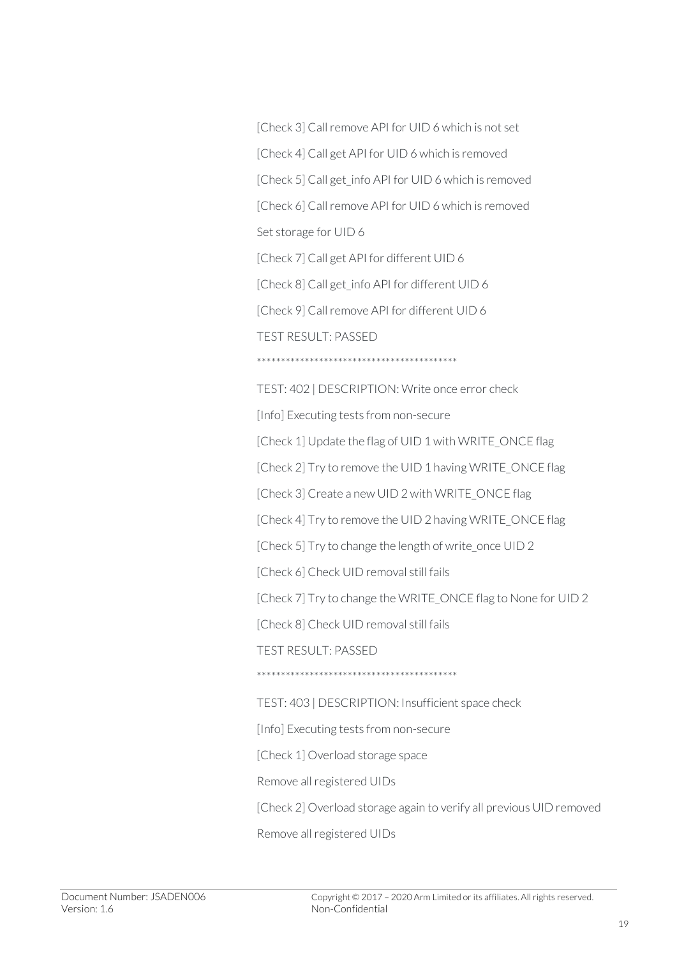[Check 3] Call remove API for UID 6 which is not set [Check 4] Call get API for UID 6 which is removed [Check 5] Call get\_info API for UID 6 which is removed [Check 6] Call remove API for UID 6 which is removed Set storage for UID 6 [Check 7] Call get API for different UID 6 [Check 8] Call get\_info API for different UID 6 [Check 9] Call remove API for different UID 6 TEST RESULT: PASSED \*\*\*\*\*\*\*\*\*\*\*\*\*\*\*\*\*\*\*\*\*\*\*\*\*\*\*\*\*\*\*\*\*\*\*\*\*\*\*\*\*\*

TEST: 402 | DESCRIPTION: Write once error check [Info] Executing tests from non-secure

[Check 1] Update the flag of UID 1 with WRITE\_ONCE flag

[Check 2] Try to remove the UID 1 having WRITE\_ONCE flag

[Check 3] Create a new UID 2 with WRITE\_ONCE flag

[Check 4] Try to remove the UID 2 having WRITE\_ONCE flag

[Check 5] Try to change the length of write\_once UID 2

[Check 6] Check UID removal still fails

[Check 7] Try to change the WRITE\_ONCE flag to None for UID 2

[Check 8] Check UID removal still fails

TEST RESULT: PASSED

\*\*\*\*\*\*\*\*\*\*\*\*\*\*\*\*\*\*\*\*\*\*\*\*\*\*\*\*\*\*\*\*\*\*\*\*\*\*\*\*\*\*

TEST: 403 | DESCRIPTION: Insufficient space check

[Info] Executing tests from non-secure

[Check 1] Overload storage space

Remove all registered UIDs

[Check 2] Overload storage again to verify all previous UID removed

Remove all registered UIDs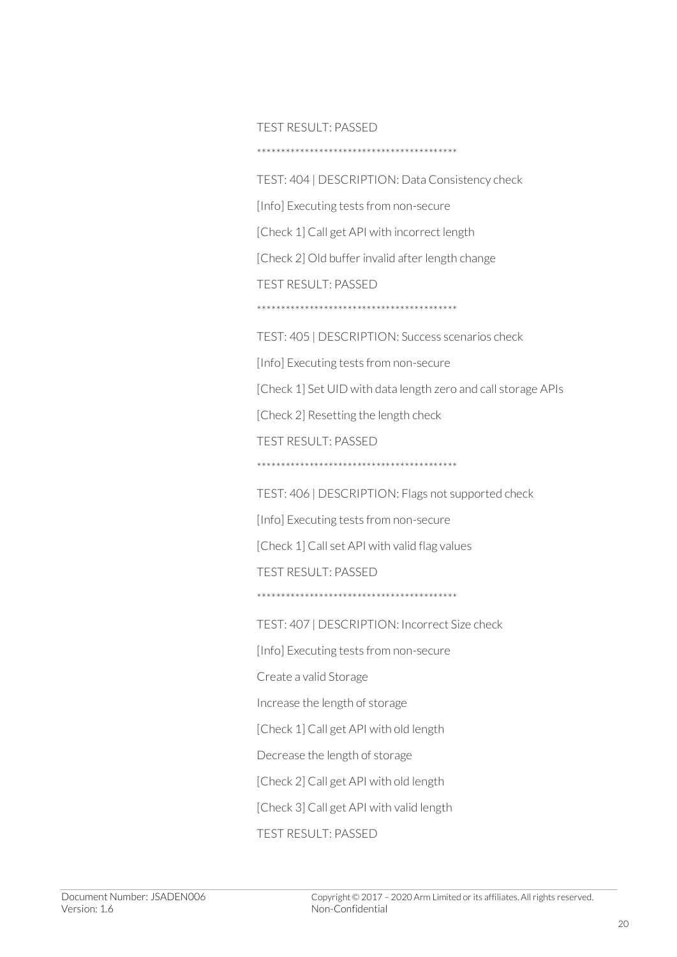TEST RESULT: PASSED

TEST: 404 | DESCRIPTION: Data Consistency check

[Info] Executing tests from non-secure

[Check 1] Call get API with incorrect length

[Check 2] Old buffer invalid after length change

**TEST RESULT: PASSED** 

TEST: 405 | DESCRIPTION: Success scenarios check

[Info] Executing tests from non-secure

[Check 1] Set UID with data length zero and call storage APIs

[Check 2] Resetting the length check

TEST RESULT: PASSED

TEST: 406 | DESCRIPTION: Flags not supported check

[Info] Executing tests from non-secure

[Check 1] Call set API with valid flag values

**TEST RESULT: PASSED** 

TEST: 407 | DESCRIPTION: Incorrect Size check

[Info] Executing tests from non-secure

Create a valid Storage

Increase the length of storage

[Check 1] Call get API with old length

Decrease the length of storage

[Check 2] Call get API with old length

[Check 3] Call get API with valid length

TEST RESULT: PASSED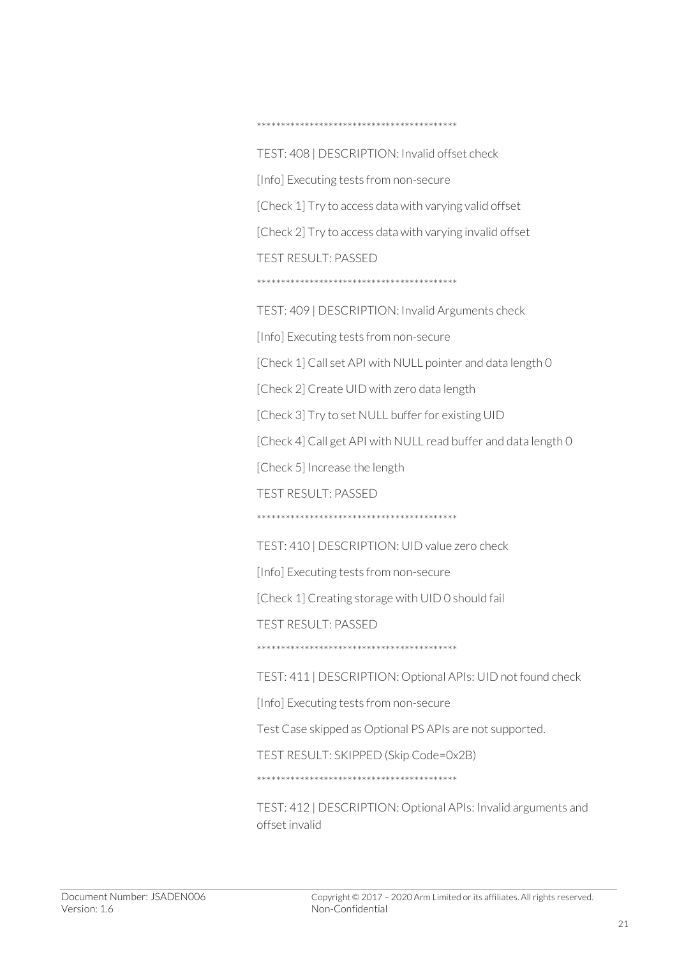\*\*\*\*\*\*\*\*\*\*\*\*\*\*\*\*\*\*\*\*\*\*\*\*\*\*\*\*\*\*\*\*\*\*\*\*\*\*\*\*\*\*

TEST: 408 | DESCRIPTION: Invalid offset check [Info] Executing tests from non-secure [Check 1] Try to access data with varying valid offset

[Check 2] Try to access data with varying invalid offset

TEST RESULT: PASSED

\*\*\*\*\*\*\*\*\*\*\*\*\*\*\*\*\*\*\*\*\*\*\*\*\*\*\*\*\*\*\*\*\*\*\*\*\*\*\*\*\*\*

TEST: 409 | DESCRIPTION: Invalid Arguments check

[Info] Executing tests from non-secure

[Check 1] Call set API with NULL pointer and data length 0

[Check 2] Create UID with zero data length

[Check 3] Try to set NULL buffer for existing UID

[Check 4] Call get API with NULL read buffer and data length 0

[Check 5] Increase the length

TEST RESULT: PASSED

\*\*\*\*\*\*\*\*\*\*\*\*\*\*\*\*\*\*\*\*\*\*\*\*\*\*\*\*\*\*\*\*\*\*\*\*\*\*\*\*\*\*

TEST: 410 | DESCRIPTION: UID value zero check

[Info] Executing tests from non-secure

[Check 1] Creating storage with UID 0 should fail

TEST RESULT: PASSED

\*\*\*\*\*\*\*\*\*\*\*\*\*\*\*\*\*\*\*\*\*\*\*\*\*\*\*\*\*\*\*\*\*\*\*\*\*\*\*\*\*\*

TEST: 411 | DESCRIPTION: Optional APIs: UID not found check

[Info] Executing tests from non-secure

Test Case skipped as Optional PS APIs are not supported.

TEST RESULT: SKIPPED (Skip Code=0x2B)

\*\*\*\*\*\*\*\*\*\*\*\*\*\*\*\*\*\*\*\*\*\*\*\*\*\*\*\*\*\*\*\*\*\*\*\*\*\*\*\*\*\*

TEST: 412 | DESCRIPTION: Optional APIs: Invalid arguments and offset invalid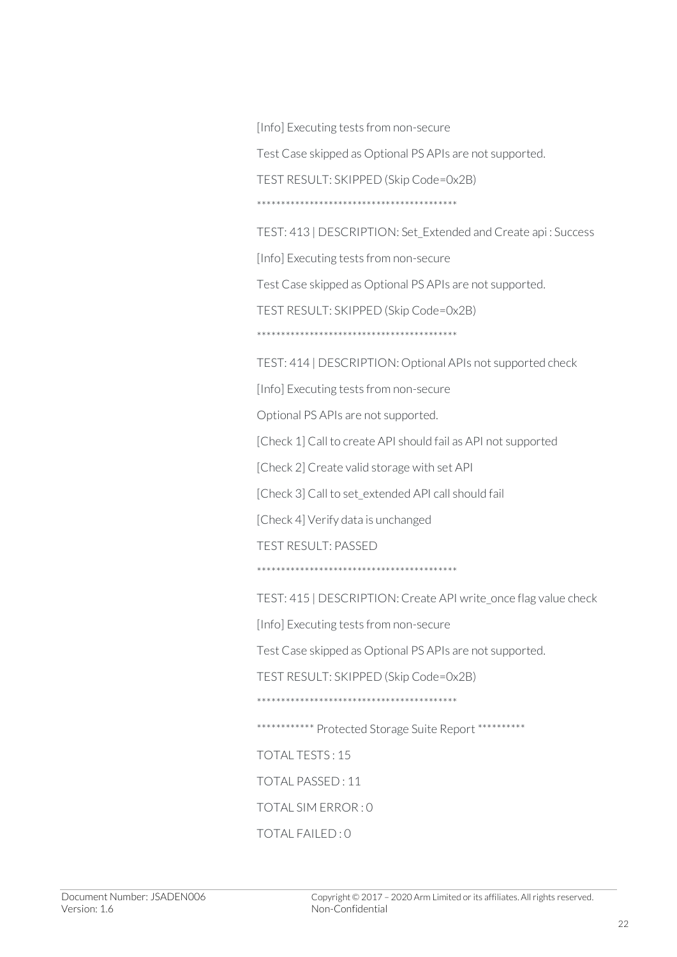[Info] Executing tests from non-secure

Test Case skipped as Optional PS APIs are not supported.

TEST RESULT: SKIPPED (Skip Code=0x2B)

TEST: 413 | DESCRIPTION: Set Extended and Create api: Success

[Info] Executing tests from non-secure

Test Case skipped as Optional PS APIs are not supported.

TEST RESULT: SKIPPED (Skip Code=0x2B)

TEST: 414 | DESCRIPTION: Optional APIs not supported check

[Info] Executing tests from non-secure

Optional PS APIs are not supported.

[Check 1] Call to create API should fail as API not supported

[Check 2] Create valid storage with set API

[Check 3] Call to set extended API call should fail

[Check 4] Verify data is unchanged

**TEST RESULT: PASSED** 

TEST: 415 | DESCRIPTION: Create API write\_once flag value check

[Info] Executing tests from non-secure

Test Case skipped as Optional PS APIs are not supported.

TEST RESULT: SKIPPED (Skip Code=0x2B)

\*\*\*\*\*\*\*\*\*\*\*\* Protected Storage Suite Report \*\*\*\*\*\*\*\*\*\*

**TOTAL TESTS: 15** 

**TOTAL PASSED: 11** 

TOTAL SIM ERROR: 0

TOTAL FAILED: 0